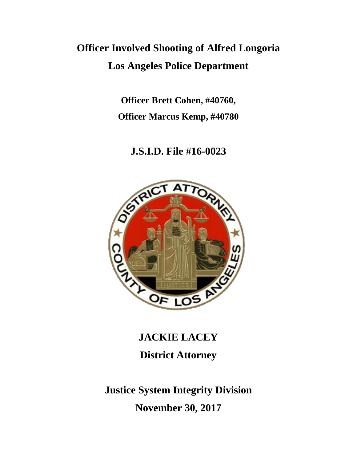# **Officer Involved Shooting of Alfred Longoria Los Angeles Police Department**

**Officer Brett Cohen, #40760, Officer Marcus Kemp, #40780**

**J.S.I.D. File #16-0023**



**JACKIE LACEY District Attorney**

**Justice System Integrity Division November 30, 2017**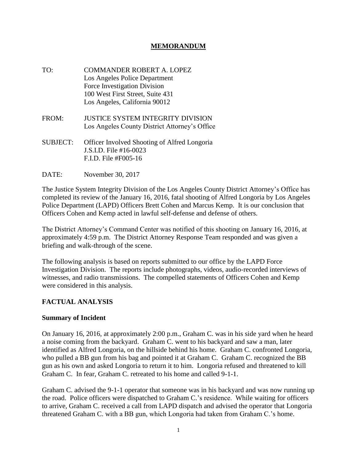#### **MEMORANDUM**

- TO: COMMANDER ROBERT A. LOPEZ Los Angeles Police Department Force Investigation Division 100 West First Street, Suite 431 Los Angeles, California 90012
- FROM: JUSTICE SYSTEM INTEGRITY DIVISION Los Angeles County District Attorney's Office
- SUBJECT: Officer Involved Shooting of Alfred Longoria J.S.I.D. File #16-0023 F.I.D. File #F005-16
- DATE: November 30, 2017

The Justice System Integrity Division of the Los Angeles County District Attorney's Office has completed its review of the January 16, 2016, fatal shooting of Alfred Longoria by Los Angeles Police Department (LAPD) Officers Brett Cohen and Marcus Kemp. It is our conclusion that Officers Cohen and Kemp acted in lawful self-defense and defense of others.

The District Attorney's Command Center was notified of this shooting on January 16, 2016, at approximately 4:59 p.m. The District Attorney Response Team responded and was given a briefing and walk-through of the scene.

The following analysis is based on reports submitted to our office by the LAPD Force Investigation Division. The reports include photographs, videos, audio-recorded interviews of witnesses, and radio transmissions. The compelled statements of Officers Cohen and Kemp were considered in this analysis.

#### **FACTUAL ANALYSIS**

#### **Summary of Incident**

On January 16, 2016, at approximately 2:00 p.m., Graham C. was in his side yard when he heard a noise coming from the backyard. Graham C. went to his backyard and saw a man, later identified as Alfred Longoria, on the hillside behind his home. Graham C. confronted Longoria, who pulled a BB gun from his bag and pointed it at Graham C. Graham C. recognized the BB gun as his own and asked Longoria to return it to him. Longoria refused and threatened to kill Graham C. In fear, Graham C. retreated to his home and called 9-1-1.

Graham C. advised the 9-1-1 operator that someone was in his backyard and was now running up the road. Police officers were dispatched to Graham C.'s residence. While waiting for officers to arrive, Graham C. received a call from LAPD dispatch and advised the operator that Longoria threatened Graham C. with a BB gun, which Longoria had taken from Graham C.'s home.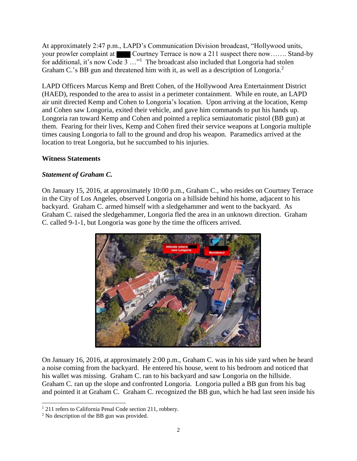At approximately 2:47 p.m., LAPD's Communication Division broadcast, "Hollywood units, your prowler complaint at Courtney Terrace is now a 211 suspect there now……. Stand-by for additional, it's now Code 3 ..."<sup>1</sup> The broadcast also included that Longoria had stolen Graham C.'s BB gun and threatened him with it, as well as a description of Longoria.<sup>2</sup>

LAPD Officers Marcus Kemp and Brett Cohen, of the Hollywood Area Entertainment District (HAED), responded to the area to assist in a perimeter containment. While en route, an LAPD air unit directed Kemp and Cohen to Longoria's location. Upon arriving at the location, Kemp and Cohen saw Longoria, exited their vehicle, and gave him commands to put his hands up. Longoria ran toward Kemp and Cohen and pointed a replica semiautomatic pistol (BB gun) at them. Fearing for their lives, Kemp and Cohen fired their service weapons at Longoria multiple times causing Longoria to fall to the ground and drop his weapon. Paramedics arrived at the location to treat Longoria, but he succumbed to his injuries.

## **Witness Statements**

## *Statement of Graham C.*

On January 15, 2016, at approximately 10:00 p.m., Graham C., who resides on Courtney Terrace in the City of Los Angeles, observed Longoria on a hillside behind his home, adjacent to his backyard. Graham C. armed himself with a sledgehammer and went to the backyard. As Graham C. raised the sledgehammer, Longoria fled the area in an unknown direction. Graham C. called 9-1-1, but Longoria was gone by the time the officers arrived.



On January 16, 2016, at approximately 2:00 p.m., Graham C. was in his side yard when he heard a noise coming from the backyard. He entered his house, went to his bedroom and noticed that his wallet was missing. Graham C. ran to his backyard and saw Longoria on the hillside. Graham C. ran up the slope and confronted Longoria. Longoria pulled a BB gun from his bag and pointed it at Graham C. Graham C. recognized the BB gun, which he had last seen inside his

 $\overline{a}$ 

<sup>&</sup>lt;sup>1</sup> 211 refers to California Penal Code section 211, robbery.

<sup>&</sup>lt;sup>2</sup> No description of the BB gun was provided.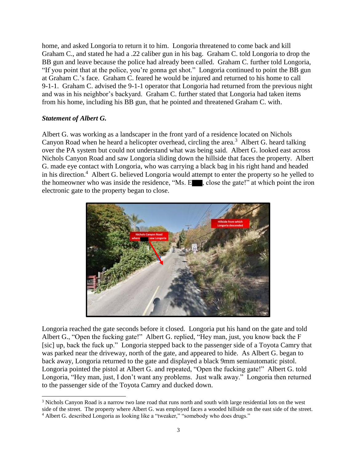home, and asked Longoria to return it to him. Longoria threatened to come back and kill Graham C., and stated he had a .22 caliber gun in his bag. Graham C. told Longoria to drop the BB gun and leave because the police had already been called. Graham C. further told Longoria, "If you point that at the police, you're gonna get shot." Longoria continued to point the BB gun at Graham C.'s face. Graham C. feared he would be injured and returned to his home to call 9-1-1. Graham C. advised the 9-1-1 operator that Longoria had returned from the previous night and was in his neighbor's backyard. Graham C. further stated that Longoria had taken items from his home, including his BB gun, that he pointed and threatened Graham C. with.

#### *Statement of Albert G.*

Albert G. was working as a landscaper in the front yard of a residence located on Nichols Canyon Road when he heard a helicopter overhead, circling the area.<sup>3</sup> Albert G. heard talking over the PA system but could not understand what was being said. Albert G. looked east across Nichols Canyon Road and saw Longoria sliding down the hillside that faces the property. Albert G. made eye contact with Longoria, who was carrying a black bag in his right hand and headed in his direction.<sup>4</sup> Albert G. believed Longoria would attempt to enter the property so he yelled to the homeowner who was inside the residence, "Ms. E , close the gate!" at which point the iron electronic gate to the property began to close.



Longoria reached the gate seconds before it closed. Longoria put his hand on the gate and told Albert G., "Open the fucking gate!" Albert G. replied, "Hey man, just, you know back the F [sic] up, back the fuck up." Longoria stepped back to the passenger side of a Toyota Camry that was parked near the driveway, north of the gate, and appeared to hide. As Albert G. began to back away, Longoria returned to the gate and displayed a black 9mm semiautomatic pistol. Longoria pointed the pistol at Albert G. and repeated, "Open the fucking gate!" Albert G. told Longoria, "Hey man, just, I don't want any problems. Just walk away." Longoria then returned to the passenger side of the Toyota Camry and ducked down.

l <sup>3</sup> Nichols Canyon Road is a narrow two lane road that runs north and south with large residential lots on the west side of the street. The property where Albert G. was employed faces a wooded hillside on the east side of the street. <sup>4</sup> Albert G. described Longoria as looking like a "tweaker," "somebody who does drugs."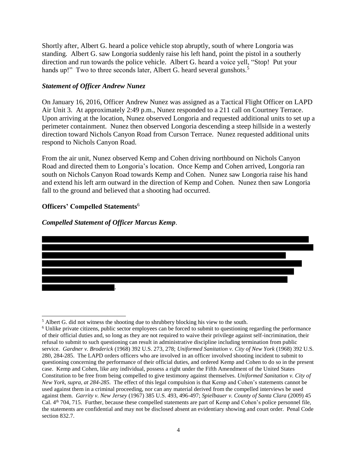Shortly after, Albert G. heard a police vehicle stop abruptly, south of where Longoria was standing. Albert G. saw Longoria suddenly raise his left hand, point the pistol in a southerly direction and run towards the police vehicle. Albert G. heard a voice yell, "Stop! Put your hands up!" Two to three seconds later, Albert G. heard several gunshots.<sup>5</sup>

#### *Statement of Officer Andrew Nunez*

On January 16, 2016, Officer Andrew Nunez was assigned as a Tactical Flight Officer on LAPD Air Unit 3. At approximately 2:49 p.m., Nunez responded to a 211 call on Courtney Terrace. Upon arriving at the location, Nunez observed Longoria and requested additional units to set up a perimeter containment. Nunez then observed Longoria descending a steep hillside in a westerly direction toward Nichols Canyon Road from Curson Terrace. Nunez requested additional units respond to Nichols Canyon Road.

From the air unit, Nunez observed Kemp and Cohen driving northbound on Nichols Canyon Road and directed them to Longoria's location. Once Kemp and Cohen arrived, Longoria ran south on Nichols Canyon Road towards Kemp and Cohen. Nunez saw Longoria raise his hand and extend his left arm outward in the direction of Kemp and Cohen. Nunez then saw Longoria fall to the ground and believed that a shooting had occurred.

#### **Officers' Compelled Statements**<sup>6</sup>

#### *Compelled Statement of Officer Marcus Kemp*.



l <sup>5</sup> Albert G. did not witness the shooting due to shrubbery blocking his view to the south.

<sup>6</sup> Unlike private citizens, public sector employees can be forced to submit to questioning regarding the performance of their official duties and, so long as they are not required to waive their privilege against self-incrimination, their refusal to submit to such questioning can result in administrative discipline including termination from public service. *Gardner v. Broderick* (1968) 392 U.S. 273, 278; *Uniformed Sanitation v. City of New York* (1968) 392 U.S. 280, 284-285. The LAPD orders officers who are involved in an officer involved shooting incident to submit to questioning concerning the performance of their official duties, and ordered Kemp and Cohen to do so in the present case. Kemp and Cohen, like any individual, possess a right under the Fifth Amendment of the United States Constitution to be free from being compelled to give testimony against themselves. *Uniformed Sanitation v. City of New York, supra, at 284-285.* The effect of this legal compulsion is that Kemp and Cohen's statements cannot be used against them in a criminal proceeding, nor can any material derived from the compelled interviews be used against them. *Garrity v. New Jersey* (1967) 385 U.S. 493, 496-497; *Spielbauer v. County of Santa Clara* (2009) 45 Cal. 4th 704, 715. Further, because these compelled statements are part of Kemp and Cohen's police personnel file, the statements are confidential and may not be disclosed absent an evidentiary showing and court order. Penal Code section 832.7.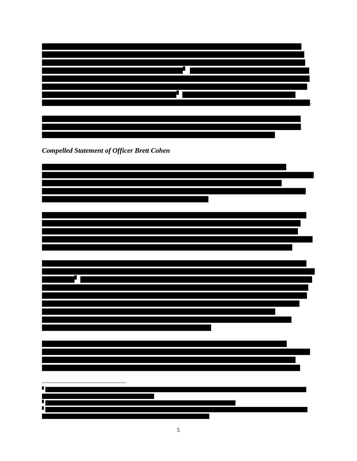

*Compelled Statement of Officer Brett Cohen*

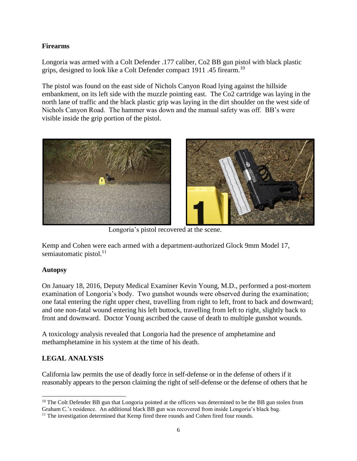## **Firearms**

Longoria was armed with a Colt Defender .177 caliber, Co2 BB gun pistol with black plastic grips, designed to look like a Colt Defender compact 1911 .45 firearm.<sup>10</sup>

The pistol was found on the east side of Nichols Canyon Road lying against the hillside embankment, on its left side with the muzzle pointing east. The Co2 cartridge was laying in the north lane of traffic and the black plastic grip was laying in the dirt shoulder on the west side of Nichols Canyon Road. The hammer was down and the manual safety was off. BB's were visible inside the grip portion of the pistol.



Longoria's pistol recovered at the scene.

Kemp and Cohen were each armed with a department-authorized Glock 9mm Model 17, semiautomatic pistol. $11$ 

## **Autopsy**

On January 18, 2016, Deputy Medical Examiner Kevin Young, M.D., performed a post-mortem examination of Longoria's body. Two gunshot wounds were observed during the examination; one fatal entering the right upper chest, travelling from right to left, front to back and downward; and one non-fatal wound entering his left buttock, travelling from left to right, slightly back to front and downward. Doctor Young ascribed the cause of death to multiple gunshot wounds.

A toxicology analysis revealed that Longoria had the presence of amphetamine and methamphetamine in his system at the time of his death.

# **LEGAL ANALYSIS**

California law permits the use of deadly force in self-defense or in the defense of others if it reasonably appears to the person claiming the right of self-defense or the defense of others that he

l <sup>10</sup> The Colt Defender BB gun that Longoria pointed at the officers was determined to be the BB gun stolen from Graham C.'s residence. An additional black BB gun was recovered from inside Longoria's black bag.

<sup>&</sup>lt;sup>11</sup> The investigation determined that Kemp fired three rounds and Cohen fired four rounds.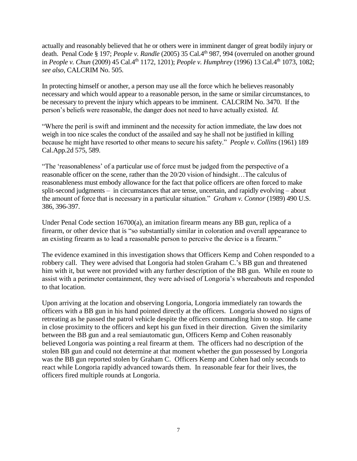actually and reasonably believed that he or others were in imminent danger of great bodily injury or death. Penal Code § 197; *People v. Randle* (2005) 35 Cal.4th 987, 994 (overruled on another ground in *People v. Chun* (2009) 45 Cal.4th 1172, 1201); *People v. Humphrey* (1996) 13 Cal.4th 1073, 1082; *see also,* CALCRIM No. 505.

In protecting himself or another, a person may use all the force which he believes reasonably necessary and which would appear to a reasonable person, in the same or similar circumstances, to be necessary to prevent the injury which appears to be imminent. CALCRIM No. 3470. If the person's beliefs were reasonable, the danger does not need to have actually existed. *Id.*

"Where the peril is swift and imminent and the necessity for action immediate, the law does not weigh in too nice scales the conduct of the assailed and say he shall not be justified in killing because he might have resorted to other means to secure his safety." *People v. Collins* (1961) 189 Cal.App.2d 575, 589.

"The 'reasonableness' of a particular use of force must be judged from the perspective of a reasonable officer on the scene, rather than the 20/20 vision of hindsight…The calculus of reasonableness must embody allowance for the fact that police officers are often forced to make split-second judgments – in circumstances that are tense, uncertain, and rapidly evolving – about the amount of force that is necessary in a particular situation." *Graham v. Connor* (1989) 490 U.S. 386, 396-397.

Under Penal Code section 16700(a), an imitation firearm means any BB gun, replica of a firearm, or other device that is "so substantially similar in coloration and overall appearance to an existing firearm as to lead a reasonable person to perceive the device is a firearm."

The evidence examined in this investigation shows that Officers Kemp and Cohen responded to a robbery call. They were advised that Longoria had stolen Graham C.'s BB gun and threatened him with it, but were not provided with any further description of the BB gun. While en route to assist with a perimeter containment, they were advised of Longoria's whereabouts and responded to that location.

Upon arriving at the location and observing Longoria, Longoria immediately ran towards the officers with a BB gun in his hand pointed directly at the officers. Longoria showed no signs of retreating as he passed the patrol vehicle despite the officers commanding him to stop. He came in close proximity to the officers and kept his gun fixed in their direction. Given the similarity between the BB gun and a real semiautomatic gun, Officers Kemp and Cohen reasonably believed Longoria was pointing a real firearm at them. The officers had no description of the stolen BB gun and could not determine at that moment whether the gun possessed by Longoria was the BB gun reported stolen by Graham C. Officers Kemp and Cohen had only seconds to react while Longoria rapidly advanced towards them. In reasonable fear for their lives, the officers fired multiple rounds at Longoria.